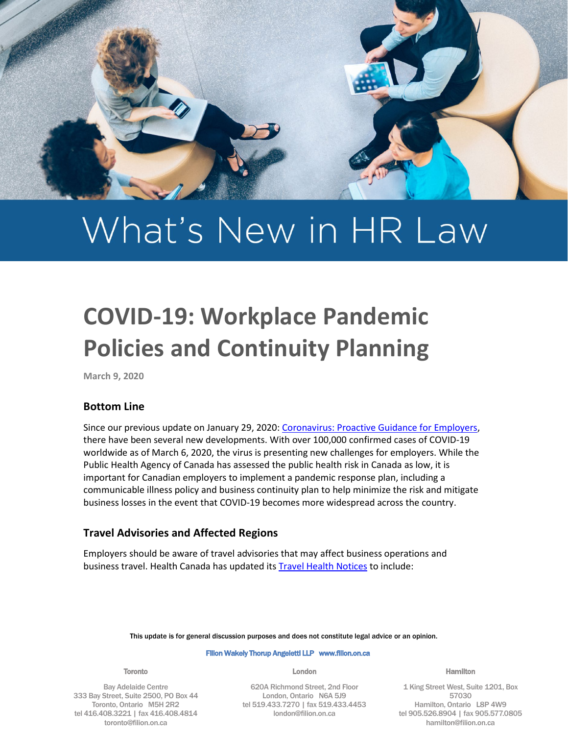

# What's New in HR Law

# **COVID-19: Workplace Pandemic Policies and Continuity Planning**

**March 9, 2020**

#### **Bottom Line**

Since our previous update on January 29, 2020: [Coronavirus: Proactive Guidance for Employers,](https://filion.on.ca/insights/coronavirus-proactive-guidance-for-employers/) there have been several new developments. With over 100,000 confirmed cases of COVID-19 worldwide as of March 6, 2020, the virus is presenting new challenges for employers. While the Public Health Agency of Canada has assessed the public health risk in Canada as low, it is important for Canadian employers to implement a pandemic response plan, including a communicable illness policy and business continuity plan to help minimize the risk and mitigate business losses in the event that COVID-19 becomes more widespread across the country.

#### **Travel Advisories and Affected Regions**

Employers should be aware of travel advisories that may affect business operations and business travel. Health Canada has updated it[s Travel Health Notices](https://www.canada.ca/en/public-health/services/diseases/2019-novel-coronavirus-infection/latest-travel-health-advice.html) to include:

This update is for general discussion purposes and does not constitute legal advice or an opinion.

#### Filion Wakely Thorup Angeletti LLP www.filion.on.ca

#### Toronto

Bay Adelaide Centre 333 Bay Street, Suite 2500, PO Box 44 Toronto, Ontario M5H 2R2 tel 416.408.3221 | fax 416.408.4814 toronto@filion.on.ca

London

620A Richmond Street, 2nd Floor London, Ontario N6A 5J9 tel 519.433.7270 | fax 519.433.4453 london@filion.on.ca

Hamilton

1 King Street West, Suite 1201, Box 57030 Hamilton, Ontario L8P 4W9 tel 905.526.8904 | fax 905.577.0805 hamilton@filion.on.ca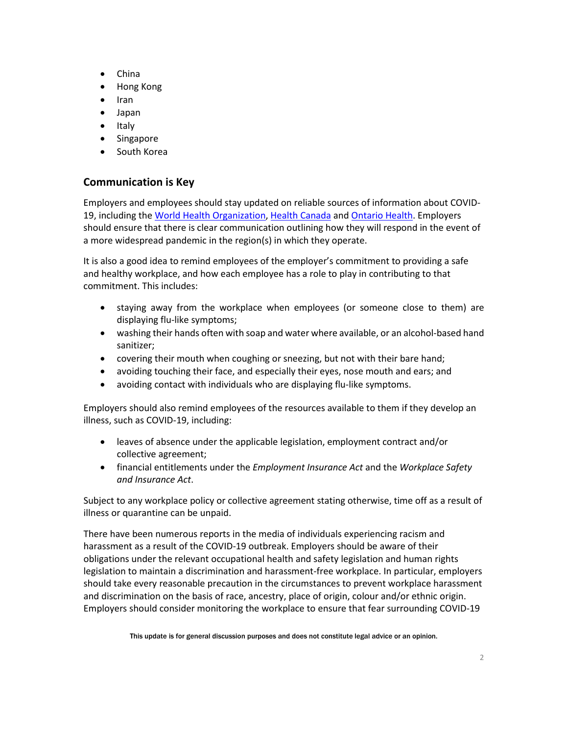- China
- Hong Kong
- Iran
- Japan
- Italy
- Singapore
- South Korea

# **Communication is Key**

Employers and employees should stay updated on reliable sources of information about COVID-19, including the [World Health Organization,](https://www.who.int/) [Health Canada](https://www.canada.ca/en/health-canada.html) an[d Ontario Health.](https://www.ontariohealth.ca/) Employers should ensure that there is clear communication outlining how they will respond in the event of a more widespread pandemic in the region(s) in which they operate.

It is also a good idea to remind employees of the employer's commitment to providing a safe and healthy workplace, and how each employee has a role to play in contributing to that commitment. This includes:

- staying away from the workplace when employees (or someone close to them) are displaying flu-like symptoms;
- washing their hands often with soap and water where available, or an alcohol-based hand sanitizer;
- covering their mouth when coughing or sneezing, but not with their bare hand;
- avoiding touching their face, and especially their eyes, nose mouth and ears; and
- avoiding contact with individuals who are displaying flu-like symptoms.

Employers should also remind employees of the resources available to them if they develop an illness, such as COVID-19, including:

- leaves of absence under the applicable legislation, employment contract and/or collective agreement;
- financial entitlements under the *Employment Insurance Act* and the *Workplace Safety and Insurance Act*.

Subject to any workplace policy or collective agreement stating otherwise, time off as a result of illness or quarantine can be unpaid.

There have been numerous reports in the media of individuals experiencing racism and harassment as a result of the COVID-19 outbreak. Employers should be aware of their obligations under the relevant occupational health and safety legislation and human rights legislation to maintain a discrimination and harassment-free workplace. In particular, employers should take every reasonable precaution in the circumstances to prevent workplace harassment and discrimination on the basis of race, ancestry, place of origin, colour and/or ethnic origin. Employers should consider monitoring the workplace to ensure that fear surrounding COVID-19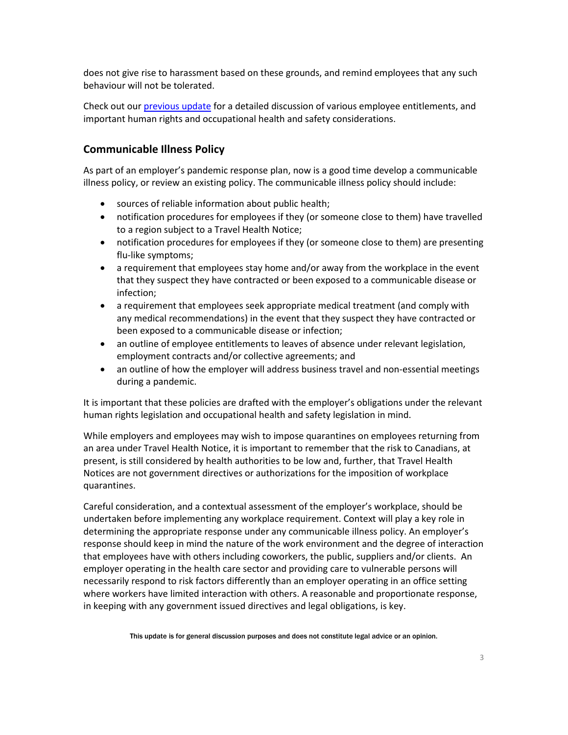does not give rise to harassment based on these grounds, and remind employees that any such behaviour will not be tolerated.

Check out our [previous update](https://filion.on.ca/insights/coronavirus-proactive-guidance-for-employers/) for a detailed discussion of various employee entitlements, and important human rights and occupational health and safety considerations.

#### **Communicable Illness Policy**

As part of an employer's pandemic response plan, now is a good time develop a communicable illness policy, or review an existing policy. The communicable illness policy should include:

- sources of reliable information about public health;
- notification procedures for employees if they (or someone close to them) have travelled to a region subject to a Travel Health Notice;
- notification procedures for employees if they (or someone close to them) are presenting flu-like symptoms;
- a requirement that employees stay home and/or away from the workplace in the event that they suspect they have contracted or been exposed to a communicable disease or infection;
- a requirement that employees seek appropriate medical treatment (and comply with any medical recommendations) in the event that they suspect they have contracted or been exposed to a communicable disease or infection;
- an outline of employee entitlements to leaves of absence under relevant legislation, employment contracts and/or collective agreements; and
- an outline of how the employer will address business travel and non-essential meetings during a pandemic.

It is important that these policies are drafted with the employer's obligations under the relevant human rights legislation and occupational health and safety legislation in mind.

While employers and employees may wish to impose quarantines on employees returning from an area under Travel Health Notice, it is important to remember that the risk to Canadians, at present, is still considered by health authorities to be low and, further, that Travel Health Notices are not government directives or authorizations for the imposition of workplace quarantines.

Careful consideration, and a contextual assessment of the employer's workplace, should be undertaken before implementing any workplace requirement. Context will play a key role in determining the appropriate response under any communicable illness policy. An employer's response should keep in mind the nature of the work environment and the degree of interaction that employees have with others including coworkers, the public, suppliers and/or clients. An employer operating in the health care sector and providing care to vulnerable persons will necessarily respond to risk factors differently than an employer operating in an office setting where workers have limited interaction with others. A reasonable and proportionate response, in keeping with any government issued directives and legal obligations, is key.

This update is for general discussion purposes and does not constitute legal advice or an opinion.